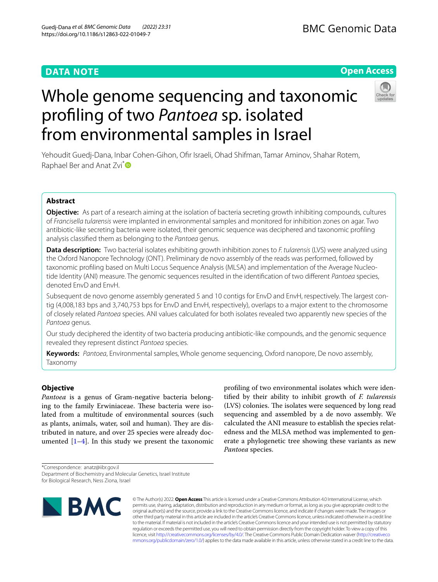# **DATA NOTE**

# **Open Access**



# Whole genome sequencing and taxonomic profling of two *Pantoea* sp. isolated from environmental samples in Israel

Yehoudit Guedj‑Dana, Inbar Cohen‑Gihon, Ofr Israeli, Ohad Shifman, Tamar Aminov, Shahar Rotem, Raphael Ber and Anat Zvi<sup>[\\*](http://orcid.org/0000-0003-3743-9642)</sup>

# **Abstract**

**Objective:** As part of a research aiming at the isolation of bacteria secreting growth inhibiting compounds, cultures of *Francisella tularensis* were implanted in environmental samples and monitored for inhibition zones on agar. Two antibiotic-like secreting bacteria were isolated, their genomic sequence was deciphered and taxonomic profling analysis classifed them as belonging to the *Pantoea* genus.

**Data description:** Two bacterial isolates exhibiting growth inhibition zones to *F. tularensis* (LVS) were analyzed using the Oxford Nanopore Technology (ONT). Preliminary de novo assembly of the reads was performed, followed by taxonomic profiling based on Multi Locus Sequence Analysis (MLSA) and implementation of the Average Nucleotide Identity (ANI) measure. The genomic sequences resulted in the identifcation of two diferent *Pantoea* species, denoted EnvD and EnvH.

Subsequent de novo genome assembly generated 5 and 10 contigs for EnvD and EnvH, respectively. The largest contig (4,008,183 bps and 3,740,753 bps for EnvD and EnvH, respectively), overlaps to a major extent to the chromosome of closely related *Pantoea* species. ANI values calculated for both isolates revealed two apparently new species of the *Pantoea* genus.

Our study deciphered the identity of two bacteria producing antibiotic-like compounds, and the genomic sequence revealed they represent distinct *Pantoea* species.

**Keywords:** *Pantoea*, Environmental samples, Whole genome sequencing, Oxford nanopore, De novo assembly, Taxonomy

# **Objective**

*Pantoea* is a genus of Gram-negative bacteria belonging to the family Erwiniaceae. These bacteria were isolated from a multitude of environmental sources (such as plants, animals, water, soil and human). They are distributed in nature, and over 25 species were already documented  $[1-4]$  $[1-4]$ . In this study we present the taxonomic

profling of two environmental isolates which were identifed by their ability to inhibit growth of *F. tularensis* (LVS) colonies. The isolates were sequenced by long read sequencing and assembled by a de novo assembly. We calculated the ANI measure to establish the species relatedness and the MLSA method was implemented to generate a phylogenetic tree showing these variants as new *Pantoea* species.

\*Correspondence: anatz@iibr.gov.il

Department of Biochemistry and Molecular Genetics, Israel Institute for Biological Research, Ness Ziona, Israel





© The Author(s) 2022. **Open Access** This article is licensed under a Creative Commons Attribution 4.0 International License, which permits use, sharing, adaptation, distribution and reproduction in any medium or format, as long as you give appropriate credit to the original author(s) and the source, provide a link to the Creative Commons licence, and indicate if changes were made. The images or other third party material in this article are included in the article's Creative Commons licence, unless indicated otherwise in a credit line to the material. If material is not included in the article's Creative Commons licence and your intended use is not permitted by statutory regulation or exceeds the permitted use, you will need to obtain permission directly from the copyright holder. To view a copy of this licence, visit [http://creativecommons.org/licenses/by/4.0/.](http://creativecommons.org/licenses/by/4.0/) The Creative Commons Public Domain Dedication waiver ([http://creativeco](http://creativecommons.org/publicdomain/zero/1.0/) [mmons.org/publicdomain/zero/1.0/](http://creativecommons.org/publicdomain/zero/1.0/)) applies to the data made available in this article, unless otherwise stated in a credit line to the data.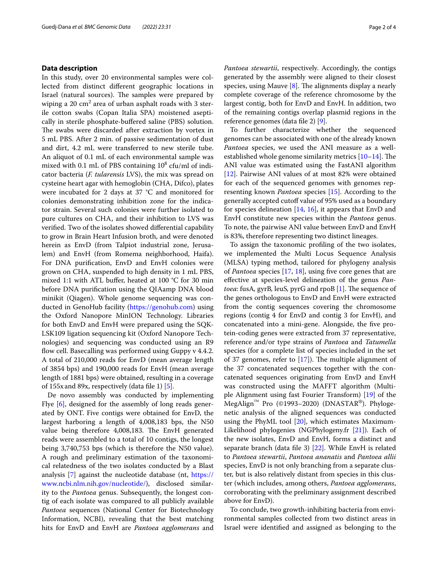## **Data description**

In this study, over 20 environmental samples were collected from distinct diferent geographic locations in Israel (natural sources). The samples were prepared by wiping a 20  $\mathrm{cm}^2$  area of urban asphalt roads with 3 sterile cotton swabs (Copan Italia SPA) moistened aseptically in sterile phosphate-buffered saline (PBS) solution. The swabs were discarded after extraction by vortex in 5 mL PBS. After 2 min. of passive sedimentation of dust and dirt, 4.2 mL were transferred to new sterile tube. An aliquot of 0.1 mL of each environmental sample was mixed with 0.1 mL of PBS containing  $10^8$  cfu/ml of indicator bacteria (*F. tularensis* LVS), the mix was spread on cysteine heart agar with hemoglobin (CHA, Difco), plates were incubated for 2 days at 37 °C and monitored for colonies demonstrating inhibition zone for the indicator strain. Several such colonies were further isolated to pure cultures on CHA, and their inhibition to LVS was verifed. Two of the isolates showed diferential capability to grow in Brain Heart Infusion broth, and were denoted herein as EnvD (from Talpiot industrial zone, Jerusalem) and EnvH (from Romema neighborhood, Haifa). For DNA purifcation, EnvD and EnvH colonies were grown on CHA, suspended to high density in 1 mL PBS, mixed 1:1 with ATL bufer, heated at 100 °C for 30 min before DNA purifcation using the QIAamp DNA blood minikit (Qiagen). Whole genome sequencing was conducted in GenoHub facility [\(https://genohub.com](https://genohub.com)) using the Oxford Nanopore MinION Technology. Libraries for both EnvD and EnvH were prepared using the SQK-LSK109 ligation sequencing kit (Oxford Nanopore Technologies) and sequencing was conducted using an R9 flow cell. Basecalling was performed using Guppy v 4.4.2. A total of 210,000 reads for EnvD (mean average length of 3854 bps) and 190,000 reads for EnvH (mean average length of 1881 bps) were obtained, resulting in a coverage of 155x and 89x, respectively (data fle 1) [[5](#page-2-2)].

De novo assembly was conducted by implementing Flye [\[6\]](#page-3-0), designed for the assembly of long reads generated by ONT. Five contigs were obtained for EnvD, the largest harboring a length of 4,008,183 bps, the N50 value being therefore 4,008,183. The EnvH generated reads were assembled to a total of 10 contigs, the longest being 3,740,753 bps (which is therefore the N50 value). A rough and preliminary estimation of the taxonomical relatedness of the two isolates conducted by a Blast analysis [\[7](#page-3-1)] against the nucleotide database (nt, [https://](https://www.ncbi.nlm.nih.gov/nucleotide/) [www.ncbi.nlm.nih.gov/nucleotide/](https://www.ncbi.nlm.nih.gov/nucleotide/)), disclosed similarity to the *Pantoea* genus. Subsequently, the longest contig of each isolate was compared to all publicly available *Pantoea* sequences (National Center for Biotechnology Information, NCBI), revealing that the best matching hits for EnvD and EnvH are *Pantoea agglomerans* and *Pantoea stewartii*, respectively. Accordingly, the contigs generated by the assembly were aligned to their closest species, using Mauve  $[8]$  $[8]$ . The alignments display a nearly complete coverage of the reference chromosome by the largest contig, both for EnvD and EnvH. In addition, two of the remaining contigs overlap plasmid regions in the reference genomes (data fle 2) [[9\]](#page-3-3).

To further characterize whether the sequenced genomes can be associated with one of the already known *Pantoea* species, we used the ANI measure as a wellestablished whole genome similarity metrics  $[10-14]$  $[10-14]$ . The ANI value was estimated using the FastANI algorithm [[12\]](#page-3-6). Pairwise ANI values of at most 82% were obtained for each of the sequenced genomes with genomes representing known *Pantoea* species [[15](#page-3-7)]. According to the generally accepted cutof value of 95% used as a boundary for species delineation [[14,](#page-3-5) [16\]](#page-3-8), it appears that EnvD and EnvH constitute new species within the *Pantoea* genus. To note, the pairwise ANI value between EnvD and EnvH is 83%, therefore representing two distinct lineages.

To assign the taxonomic profling of the two isolates, we implemented the Multi Locus Sequence Analysis (MLSA) typing method, tailored for phylogeny analysis of *Pantoea* species [[17](#page-3-9), [18](#page-3-10)], using five core genes that are efective at species-level delineation of the genus *Pantoea*: fusA, gyrB, leuS, pyrG and rpoB [[1\]](#page-2-0). The sequence of the genes orthologous to EnvD and EnvH were extracted from the contig sequences covering the chromosome regions (contig 4 for EnvD and contig 3 for EnvH), and concatenated into a mini-gene. Alongside, the fve protein-coding genes were extracted from 37 representative, reference and/or type strains of *Pantoea* and *Tatumella* species (for a complete list of species included in the set of 37 genomes, refer to  $[17]$  $[17]$ ). The multiple alignment of the 37 concatenated sequences together with the concatenated sequences originating from EnvD and EnvH was constructed using the MAFFT algorithm (Multiple Alignment using fast Fourier Transform) [[19](#page-3-11)] of the MegAlign™ Pro (©1993–2020) (DNASTAR®). Phylogenetic analysis of the aligned sequences was conducted using the PhyML tool [\[20](#page-3-12)], which estimates Maximum-Likelihood phylogenies (NGPhylogeny.fr [[21\]](#page-3-13)). Each of the new isolates, EnvD and EnvH, forms a distinct and separate branch (data fle 3) [[22\]](#page-3-14). While EnvH is related to *Pantoea stewartii*, *Pantoea ananatis* and *Pantoea allii* species, EnvD is not only branching from a separate cluster, but is also relatively distant from species in this cluster (which includes, among others, *Pantoea agglomerans*, corroborating with the preliminary assignment described above for EnvD).

To conclude, two growth-inhibiting bacteria from environmental samples collected from two distinct areas in Israel were identifed and assigned as belonging to the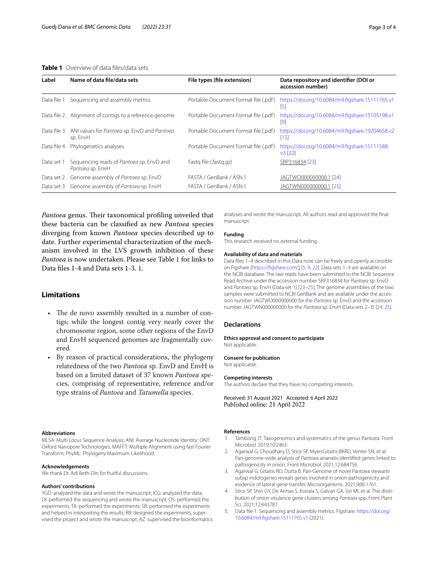## <span id="page-2-3"></span>**Table 1** Overview of data fles/data sets

| Label       | Name of data file/data sets                                  | File types (file extension)          | Data repository and identifier (DOI or<br>accession number) |
|-------------|--------------------------------------------------------------|--------------------------------------|-------------------------------------------------------------|
| Data file   | Sequencing and assembly metrics                              | Portable Document Format file (.pdf) | https://doi.org/10.6084/m9.figshare.15111765.v1<br>15       |
|             | Data file 2 Alignment of contigs to a reference genome       | Portable Document Format file (.pdf) | https://doi.org/10.6084/m9.figshare.15105198.v1<br>191      |
| Data file 3 | ANI values for Pantoea sp. EnvD and Pantoea<br>sp. EnvH      | Portable Document Format file (.pdf) | https://doi.org/10.6084/m9.figshare.19204658.v2<br>[15]     |
| Data file 4 | Phylogenetics analyses                                       | Portable Document Format file (.pdf) | https://doi.org/10.6084/m9.figshare.15111588.<br>v3 [22]    |
| Data set 1  | Sequencing reads of Pantoea sp. EnvD and<br>Pantoea sp. EnvH | Fastg file (fastg.gz)                | SRP316834 [23]                                              |
| Data set 2  | Genome assembly of Pantoea sp. EnvD                          | FASTA / GenBank / ASN.1              | JAGTWO000000000.1 [24]                                      |
|             | Data set 3 Genome assembly of Pantoea sp. EnvH               | FASTA / GenBank / ASN.1              | JAGTWN000000000.1 [25]                                      |

*Pantoea* genus. Their taxonomical profiling unveiled that these bacteria can be classifed as new *Pantoea* species diverging from known *Pantoea* species described up to date. Further experimental characterization of the mechanism involved in the LVS growth inhibition of these *Pantoea* is now undertaken. Please see Table [1](#page-2-3) for links to Data fles 1-4 and Data sets 1-3. [1.](#page-2-3)

## **Limitations**

- The de novo assembly resulted in a number of contigs; while the longest contig very nearly cover the chromosome region, some other regions of the EnvD and EnvH sequenced genomes are fragmentally covered.
- By reason of practical considerations, the phylogeny relatedness of the two *Pantoea* sp. EnvD and EnvH is based on a limited dataset of 37 known *Pantoea* species, comprising of representative, reference and/or type strains of *Pantoea* and *Tatumella* species.

#### **Abbreviations**

MLSA: Multi Locus Sequence Analysis; ANI: Average Nucleotide Identity; ONT: Oxford Nanopore Technologies; MAFFT: Multiple Alignment using fast Fourier Transform; PhyML: Phylogeny Maximum-Likelihood.

#### **Acknowledgements**

We thank Dr. Adi Beth-Din for fruitful discussions.

#### **Authors' contributions**

YGD: analyzed the data and wrote the manuscript; ICG: analyzed the data; OI: performed the sequencing and wrote the manuscript; OS: performed the experiments; TA: performed the experiments; SR: performed the experiments and helped in interpreting the results; RB: designed the experiments, supervised the project and wrote the manuscript; AZ: supervised the bioinformatics analyses and wrote the manuscript. All authors read and approved the fnal manuscript.

#### **Funding**

This research received no external funding.

#### **Availability of data and materials**

Data fles 1–4 described in this Data note can be freely and openly accessible on Figshare ([https://fgshare.com/](https://figshare.com/)) [[5](#page-2-2), [9,](#page-3-3) [22](#page-3-14)]. Data sets 1–3 are available on the NCBI database. The raw reads have been submitted to the NCBI Sequence Read Archive under the accession number SRP316834 for *Pantoea* sp. EnvD and *Pantoea* sp. EnvH (Data set 1) [[23–](#page-3-15)[25](#page-3-16)]. The genome assemblies of the two samples were submitted to NCBI GenBank and are available under the accession number JAGTWO000000000 for the *Pantoea* sp. EnvD and the accession number JAGTWN000000000 for the *Pantoea* sp. EnvH (Data sets 2–3) [[24](#page-3-17), [25](#page-3-16)].

## **Declarations**

#### **Ethics approval and consent to participate**

Not applicable.

#### **Consent for publication**

Not applicable.

#### **Competing interests**

The authors declare that they have no competing interests.

Received: 31 August 2021 Accepted: 6 April 2022 Published online: 21 April 2022

#### **References**

- <span id="page-2-0"></span>1. Tambong JT. Taxogenomics and systematics of the genus Pantoea. Front Microbiol. 2019;10:2463.
- 2. Agarwal G, Choudhary D, Stice SP, MyersGitaitis BKRD, Venter SN, et al. Pan-genome-wide analysis of Pantoea ananatis identifed genes linked to pathogenicity in onion. Front Microbiol. 2021;12:684756.
- 3. Agarwal G, Gitaitis RD, Dutta B. Pan-Genome of novel Pantoea stewartii subsp indologenes reveals genes involved in onion pathogenicity and evidence of lateral gene transfer. Microorganisms. 2021;9(8):1761.
- <span id="page-2-1"></span>4. Stice SP, Shin GY, De Armas S, Koirala S, Galvan GA, Siri MI, et al. The distribution of onion virulence gene clusters among *Pantoea* spp. Front Plant Sci. 2021;12:643787.
- <span id="page-2-2"></span>5. Data fle 1: Sequencing and assembly metrics. Figshare: [https://doi.org/](https://doi.org/10.6084/m9.figshare.15111765.v1) [10.6084/m9.fgshare.15111765.v1](https://doi.org/10.6084/m9.figshare.15111765.v1) (2021).